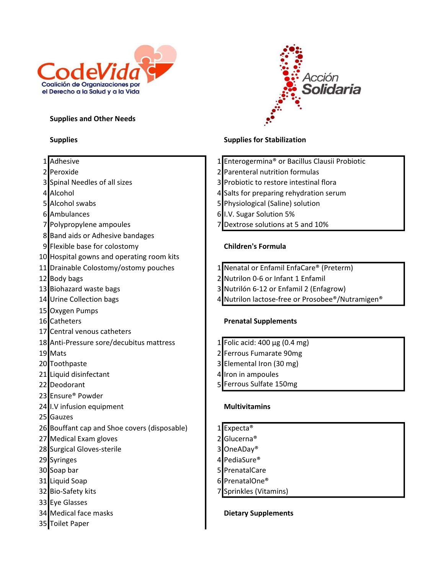

#### Supplies and Other Needs

8 Band aids or Adhesive bandages

10 Hospital gowns and operating room kits

15 Oxygen Pumps

23 Ensure® Powder

25 Gauzes

17 Central venous catheters



# Supplies Supplies **Supplies** Supplies for Stabilization

- 1 Adhesive 1 Adhesive 1 Enterogermina® or Bacillus Clausii Probiotic
- 2 Peroxide 2 Parenteral nutrition formulas
- 3 Spinal Needles of all sizes 3 Probiotic to restore intestinal flora
- 4 Alcohol 4 Salts for preparing rehydration serum
- 5 Alcohol swabs 5 Physiological (Saline) solution
- 6 Ambulances 6 I.V. Sugar Solution 5%
- 7 Polypropylene ampoules 7 Dextrose solutions at 5 and 10%

### 9 Flexible base for colostomy Children's Formula

- 11 Drainable Colostomy/ostomy pouches 1 Nenatal or Enfamil EnfaCare® (Preterm)
- 12 Body bags 2 Nutrilon 0-6 or Infant 1 Enfamil
- 13 Biohazard waste bags 3 Nutrilón 6-12 or Enfamil 2 (Enfagrow)
- 14 Urine Collection bags 14 Nutrilon lactose-free or Prosobee<sup>®</sup>/Nutramigen<sup>®</sup>

### 16 Catheters **Prenatal Supplements**

- 18 Anti-Pressure sore/decubitus mattress 1 Folic acid: 400 μg (0.4 mg)
- 19 Mats 2 Ferrous Fumarate 90mg
- 20 Toothpaste 20 Toothpaste 3 Elemental Iron (30 mg)
- 21 Liquid disinfectant 1 1 and 1 4 Iron in ampoules
- 22 Deodorant 22 Beodorant 150mg

## 24 I.V infusion equipment Multivitamins

- 26 Bouffant cap and Shoe covers (disposable) 1 Expecta<sup>®</sup> 27 Medical Exam gloves 27 Medical Example 1998
- 28 Surgical Gloves-sterile 3 OneADay<sup>®</sup>
- 29 Syringes 29 November 2018 12:00 12:00 12:00 12:00 12:00 12:00 12:00 12:00 12:00 12:00 12:00 12:00 12:00 12:0
- 30 Soap bar 5 PrenatalCare
- 31 Liquid Soap 6 PrenatalOne®
- 32 Bio-Safety kits 7 Sprinkles (Vitamins)

### 34 Medical face masks **Dietary Supplements**

- 33 Eye Glasses
- 
- 35 Toilet Paper